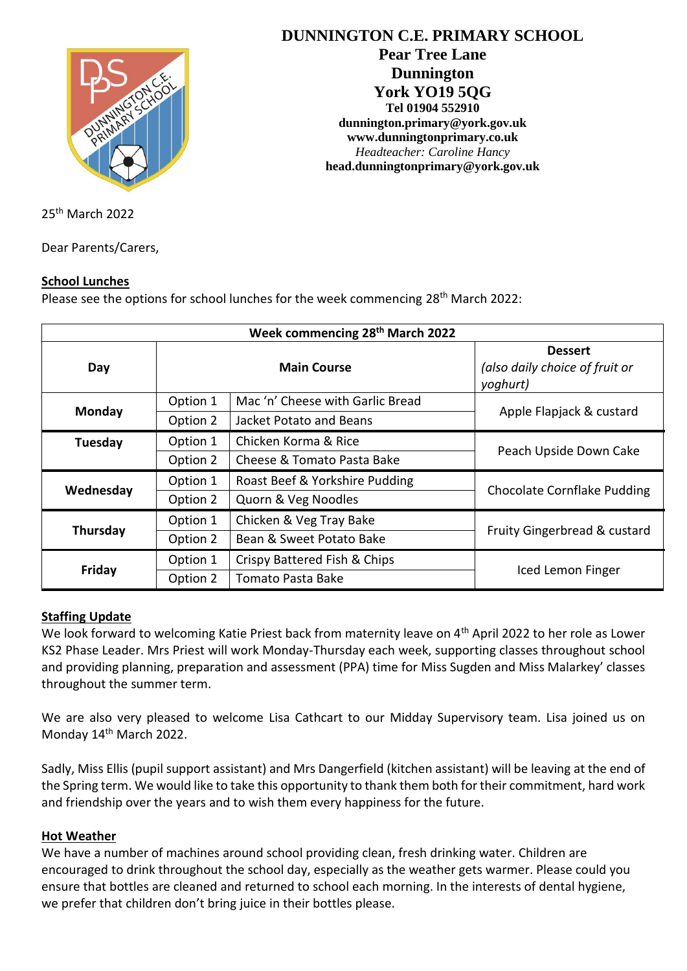

**DUNNINGTON C.E. PRIMARY SCHOOL Pear Tree Lane Dunnington York YO19 5QG Tel 01904 552910 dunnington.primary@york.gov.uk www.dunningtonprimary.co.uk** *Headteacher: Caroline Hancy* **head.dunningtonprimary@york.gov.uk**

25 th March 2022

Dear Parents/Carers,

#### **School Lunches**

Please see the options for school lunches for the week commencing 28<sup>th</sup> March 2022:

| Week commencing 28 <sup>th</sup> March 2022 |                    |                                  |                                                              |
|---------------------------------------------|--------------------|----------------------------------|--------------------------------------------------------------|
| Day                                         | <b>Main Course</b> |                                  | <b>Dessert</b><br>(also daily choice of fruit or<br>yoghurt) |
| Monday                                      | Option 1           | Mac 'n' Cheese with Garlic Bread | Apple Flapjack & custard                                     |
|                                             | Option 2           | Jacket Potato and Beans          |                                                              |
| Tuesday                                     | Option 1           | Chicken Korma & Rice             |                                                              |
|                                             | Option 2           | Cheese & Tomato Pasta Bake       | Peach Upside Down Cake                                       |
| Wednesday                                   | Option 1           | Roast Beef & Yorkshire Pudding   | <b>Chocolate Cornflake Pudding</b>                           |
|                                             | Option 2           | Quorn & Veg Noodles              |                                                              |
| Thursday                                    | Option 1           | Chicken & Veg Tray Bake          | Fruity Gingerbread & custard                                 |
|                                             | Option 2           | Bean & Sweet Potato Bake         |                                                              |
| Friday                                      | Option 1           | Crispy Battered Fish & Chips     | Iced Lemon Finger                                            |
|                                             | Option 2           | Tomato Pasta Bake                |                                                              |

# **Staffing Update**

We look forward to welcoming Katie Priest back from maternity leave on 4<sup>th</sup> April 2022 to her role as Lower KS2 Phase Leader. Mrs Priest will work Monday-Thursday each week, supporting classes throughout school and providing planning, preparation and assessment (PPA) time for Miss Sugden and Miss Malarkey' classes throughout the summer term.

We are also very pleased to welcome Lisa Cathcart to our Midday Supervisory team. Lisa joined us on Monday 14<sup>th</sup> March 2022.

Sadly, Miss Ellis (pupil support assistant) and Mrs Dangerfield (kitchen assistant) will be leaving at the end of the Spring term. We would like to take this opportunity to thank them both for their commitment, hard work and friendship over the years and to wish them every happiness for the future.

#### **Hot Weather**

We have a number of machines around school providing clean, fresh drinking water. Children are encouraged to drink throughout the school day, especially as the weather gets warmer. Please could you ensure that bottles are cleaned and returned to school each morning. In the interests of dental hygiene, we prefer that children don't bring juice in their bottles please.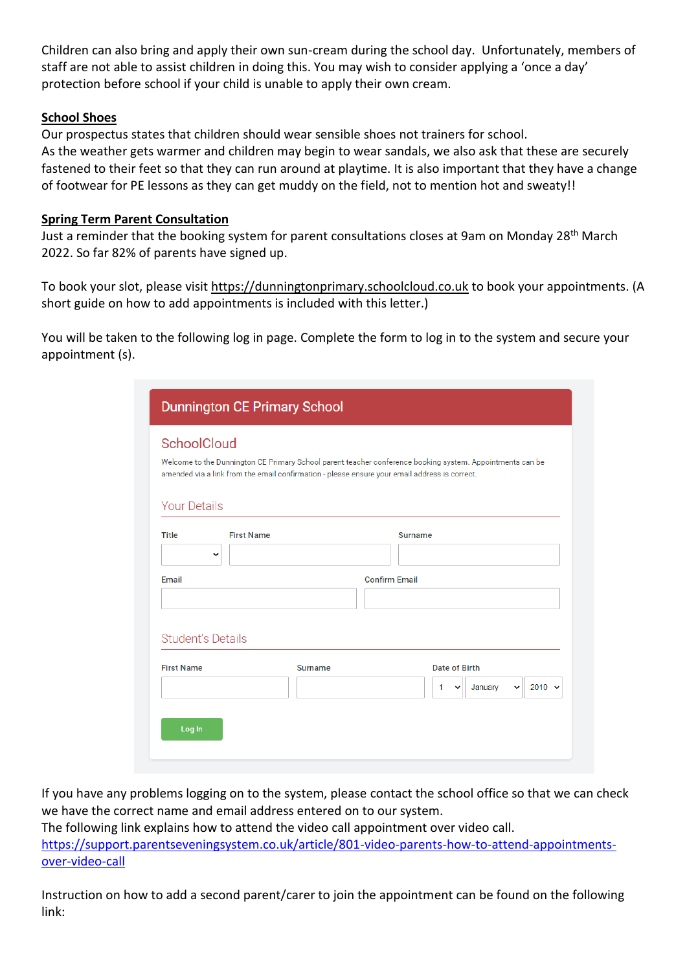Children can also bring and apply their own sun-cream during the school day. Unfortunately, members of staff are not able to assist children in doing this. You may wish to consider applying a 'once a day' protection before school if your child is unable to apply their own cream.

# **School Shoes**

Our prospectus states that children should wear sensible shoes not trainers for school. As the weather gets warmer and children may begin to wear sandals, we also ask that these are securely fastened to their feet so that they can run around at playtime. It is also important that they have a change of footwear for PE lessons as they can get muddy on the field, not to mention hot and sweaty!!

### **Spring Term Parent Consultation**

Just a reminder that the booking system for parent consultations closes at 9am on Monday 28<sup>th</sup> March 2022. So far 82% of parents have signed up.

To book your slot, please visit https://dunningtonprimary.schoolcloud.co.uk to book your appointments. (A short guide on how to add appointments is included with this letter.)

You will be taken to the following log in page. Complete the form to log in to the system and secure your appointment (s).

| <b>Dunnington CE Primary School</b> |                                                                                                                                                                                                            |                                                                                                 |  |  |
|-------------------------------------|------------------------------------------------------------------------------------------------------------------------------------------------------------------------------------------------------------|-------------------------------------------------------------------------------------------------|--|--|
| <b>SchoolCloud</b>                  | Welcome to the Dunnington CE Primary School parent teacher conference booking system. Appointments can be<br>amended via a link from the email confirmation - please ensure your email address is correct. |                                                                                                 |  |  |
| <b>Your Details</b>                 |                                                                                                                                                                                                            |                                                                                                 |  |  |
| <b>Title</b>                        | <b>First Name</b><br>v                                                                                                                                                                                     | <b>Surname</b>                                                                                  |  |  |
| Email                               | <b>Confirm Email</b>                                                                                                                                                                                       |                                                                                                 |  |  |
| <b>Student's Details</b>            |                                                                                                                                                                                                            |                                                                                                 |  |  |
| <b>First Name</b>                   | <b>Surname</b>                                                                                                                                                                                             | <b>Date of Birth</b><br>$2010 \times$<br>$\mathbf{1}$<br>January<br>$\check{~}$<br>$\checkmark$ |  |  |
| Log In                              |                                                                                                                                                                                                            |                                                                                                 |  |  |

If you have any problems logging on to the system, please contact the school office so that we can check we have the correct name and email address entered on to our system.

The following link explains how to attend the video call appointment over video call. [https://support.parentseveningsystem.co.uk/article/801-video-parents-how-to-attend-appointments](https://support.parentseveningsystem.co.uk/article/801-video-parents-how-to-attend-appointments-over-video-call)[over-video-call](https://support.parentseveningsystem.co.uk/article/801-video-parents-how-to-attend-appointments-over-video-call)

Instruction on how to add a second parent/carer to join the appointment can be found on the following link: